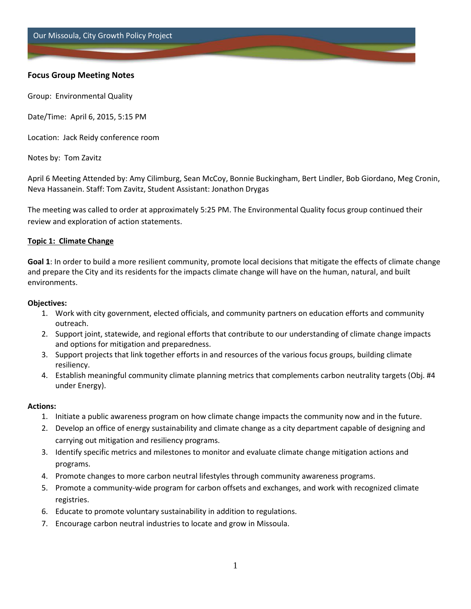Our Missoula, City Growth Policy Project

# **Focus Group Meeting Notes**

Group: Environmental Quality

Date/Time: April 6, 2015, 5:15 PM

Location: Jack Reidy conference room

Notes by: Tom Zavitz

April 6 Meeting Attended by: Amy Cilimburg, Sean McCoy, Bonnie Buckingham, Bert Lindler, Bob Giordano, Meg Cronin, Neva Hassanein. Staff: Tom Zavitz, Student Assistant: Jonathon Drygas

The meeting was called to order at approximately 5:25 PM. The Environmental Quality focus group continued their review and exploration of action statements.

#### **Topic 1: Climate Change**

**Goal 1**: In order to build a more resilient community, promote local decisions that mitigate the effects of climate change and prepare the City and its residents for the impacts climate change will have on the human, natural, and built environments.

#### **Objectives:**

- 1. Work with city government, elected officials, and community partners on education efforts and community outreach.
- 2. Support joint, statewide, and regional efforts that contribute to our understanding of climate change impacts and options for mitigation and preparedness.
- 3. Support projects that link together efforts in and resources of the various focus groups, building climate resiliency.
- 4. Establish meaningful community climate planning metrics that complements carbon neutrality targets (Obj. #4 under Energy).

#### **Actions:**

- 1. Initiate a public awareness program on how climate change impacts the community now and in the future.
- 2. Develop an office of energy sustainability and climate change as a city department capable of designing and carrying out mitigation and resiliency programs.
- 3. Identify specific metrics and milestones to monitor and evaluate climate change mitigation actions and programs.
- 4. Promote changes to more carbon neutral lifestyles through community awareness programs.
- 5. Promote a community-wide program for carbon offsets and exchanges, and work with recognized climate registries.
- 6. Educate to promote voluntary sustainability in addition to regulations.
- 7. Encourage carbon neutral industries to locate and grow in Missoula.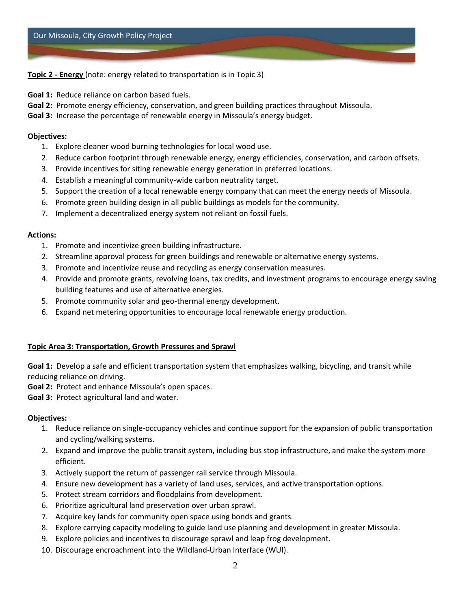**Topic 2 - Energy** (note: energy related to transportation is in Topic 3)

**Goal 1:** Reduce reliance on carbon based fuels.

**Goal 2:** Promote energy efficiency, conservation, and green building practices throughout Missoula.

**Goal 3:** Increase the percentage of renewable energy in Missoula's energy budget.

#### **Objectives:**

- 1. Explore cleaner wood burning technologies for local wood use.
- 2. Reduce carbon footprint through renewable energy, energy efficiencies, conservation, and carbon offsets.
- 3. Provide incentives for siting renewable energy generation in preferred locations.
- 4. Establish a meaningful community-wide carbon neutrality target.
- 5. Support the creation of a local renewable energy company that can meet the energy needs of Missoula.
- 6. Promote green building design in all public buildings as models for the community.
- 7. Implement a decentralized energy system not reliant on fossil fuels.

# **Actions:**

- 1. Promote and incentivize green building infrastructure.
- 2. Streamline approval process for green buildings and renewable or alternative energy systems.
- 3. Promote and incentivize reuse and recycling as energy conservation measures.
- 4. Provide and promote grants, revolving loans, tax credits, and investment programs to encourage energy saving building features and use of alternative energies.
- 5. Promote community solar and geo-thermal energy development.
- 6. Expand net metering opportunities to encourage local renewable energy production.

# **Topic Area 3: Transportation, Growth Pressures and Sprawl**

**Goal 1:** Develop a safe and efficient transportation system that emphasizes walking, bicycling, and transit while reducing reliance on driving.

**Goal 2:** Protect and enhance Missoula's open spaces.

**Goal 3:** Protect agricultural land and water.

# **Objectives:**

- 1. Reduce reliance on single-occupancy vehicles and continue support for the expansion of public transportation and cycling/walking systems.
- 2. Expand and improve the public transit system, including bus stop infrastructure, and make the system more efficient.
- 3. Actively support the return of passenger rail service through Missoula.
- 4. Ensure new development has a variety of land uses, services, and active transportation options.
- 5. Protect stream corridors and floodplains from development.
- 6. Prioritize agricultural land preservation over urban sprawl.
- 7. Acquire key lands for community open space using bonds and grants.
- 8. Explore carrying capacity modeling to guide land use planning and development in greater Missoula.
- 9. Explore policies and incentives to discourage sprawl and leap frog development.
- 10. Discourage encroachment into the Wildland-Urban Interface (WUI).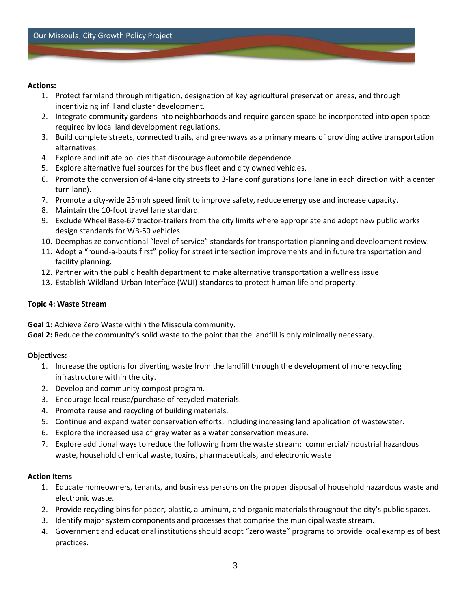#### **Actions:**

- 1. Protect farmland through mitigation, designation of key agricultural preservation areas, and through incentivizing infill and cluster development.
- 2. Integrate community gardens into neighborhoods and require garden space be incorporated into open space required by local land development regulations.
- 3. Build complete streets, connected trails, and greenways as a primary means of providing active transportation alternatives.
- 4. Explore and initiate policies that discourage automobile dependence.
- 5. Explore alternative fuel sources for the bus fleet and city owned vehicles.
- 6. Promote the conversion of 4-lane city streets to 3-lane configurations (one lane in each direction with a center turn lane).
- 7. Promote a city-wide 25mph speed limit to improve safety, reduce energy use and increase capacity.
- 8. Maintain the 10-foot travel lane standard.
- 9. Exclude Wheel Base-67 tractor-trailers from the city limits where appropriate and adopt new public works design standards for WB-50 vehicles.
- 10. Deemphasize conventional "level of service" standards for transportation planning and development review.
- 11. Adopt a "round-a-bouts first" policy for street intersection improvements and in future transportation and facility planning.
- 12. Partner with the public health department to make alternative transportation a wellness issue.
- 13. Establish Wildland-Urban Interface (WUI) standards to protect human life and property.

# **Topic 4: Waste Stream**

**Goal 1:** Achieve Zero Waste within the Missoula community.

**Goal 2:** Reduce the community's solid waste to the point that the landfill is only minimally necessary.

# **Objectives:**

- 1. Increase the options for diverting waste from the landfill through the development of more recycling infrastructure within the city.
- 2. Develop and community compost program.
- 3. Encourage local reuse/purchase of recycled materials.
- 4. Promote reuse and recycling of building materials.
- 5. Continue and expand water conservation efforts, including increasing land application of wastewater.
- 6. Explore the increased use of gray water as a water conservation measure.
- 7. Explore additional ways to reduce the following from the waste stream: commercial/industrial hazardous waste, household chemical waste, toxins, pharmaceuticals, and electronic waste

# **Action Items**

- 1. Educate homeowners, tenants, and business persons on the proper disposal of household hazardous waste and electronic waste.
- 2. Provide recycling bins for paper, plastic, aluminum, and organic materials throughout the city's public spaces.
- 3. Identify major system components and processes that comprise the municipal waste stream.
- 4. Government and educational institutions should adopt "zero waste" programs to provide local examples of best practices.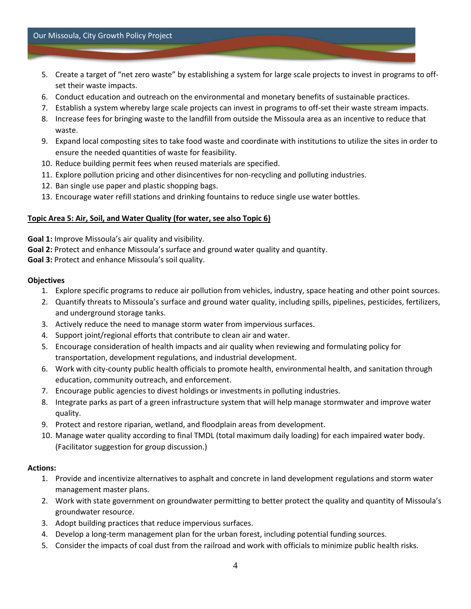- 5. Create a target of "net zero waste" by establishing a system for large scale projects to invest in programs to offset their waste impacts.
- 6. Conduct education and outreach on the environmental and monetary benefits of sustainable practices.
- 7. Establish a system whereby large scale projects can invest in programs to off-set their waste stream impacts.
- 8. Increase fees for bringing waste to the landfill from outside the Missoula area as an incentive to reduce that waste.
- 9. Expand local composting sites to take food waste and coordinate with institutions to utilize the sites in order to ensure the needed quantities of waste for feasibility.
- 10. Reduce building permit fees when reused materials are specified.
- 11. Explore pollution pricing and other disincentives for non-recycling and polluting industries.
- 12. Ban single use paper and plastic shopping bags.
- 13. Encourage water refill stations and drinking fountains to reduce single use water bottles.

# **Topic Area 5: Air, Soil, and Water Quality (for water, see also Topic 6)**

**Goal 1:** Improve Missoula's air quality and visibility.

**Goal 2:** Protect and enhance Missoula's surface and ground water quality and quantity.

**Goal 3:** Protect and enhance Missoula's soil quality.

#### **Objectives**

- 1. Explore specific programs to reduce air pollution from vehicles, industry, space heating and other point sources.
- 2. Quantify threats to Missoula's surface and ground water quality, including spills, pipelines, pesticides, fertilizers, and underground storage tanks.
- 3. Actively reduce the need to manage storm water from impervious surfaces.
- 4. Support joint/regional efforts that contribute to clean air and water.
- 5. Encourage consideration of health impacts and air quality when reviewing and formulating policy for transportation, development regulations, and industrial development.
- 6. Work with city-county public health officials to promote health, environmental health, and sanitation through education, community outreach, and enforcement.
- 7. Encourage public agencies to divest holdings or investments in polluting industries.
- 8. Integrate parks as part of a green infrastructure system that will help manage stormwater and improve water quality.
- 9. Protect and restore riparian, wetland, and floodplain areas from development.
- 10. Manage water quality according to final TMDL (total maximum daily loading) for each impaired water body. (Facilitator suggestion for group discussion.)

# **Actions:**

- 1. Provide and incentivize alternatives to asphalt and concrete in land development regulations and storm water management master plans.
- 2. Work with state government on groundwater permitting to better protect the quality and quantity of Missoula's groundwater resource.
- 3. Adopt building practices that reduce impervious surfaces.
- 4. Develop a long-term management plan for the urban forest, including potential funding sources.
- 5. Consider the impacts of coal dust from the railroad and work with officials to minimize public health risks.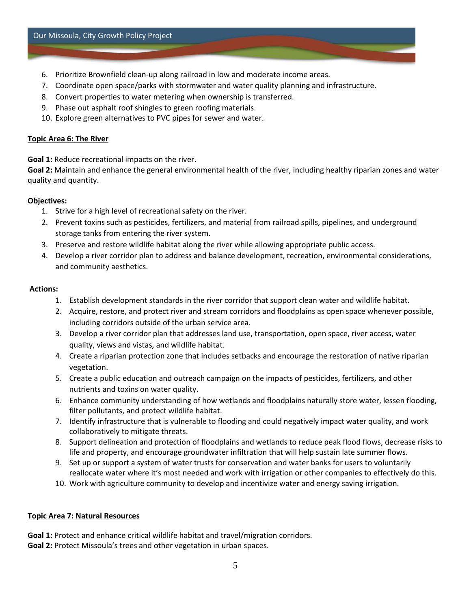- 6. Prioritize Brownfield clean-up along railroad in low and moderate income areas.
- 7. Coordinate open space/parks with stormwater and water quality planning and infrastructure.
- 8. Convert properties to water metering when ownership is transferred.
- 9. Phase out asphalt roof shingles to green roofing materials.
- 10. Explore green alternatives to PVC pipes for sewer and water.

# **Topic Area 6: The River**

**Goal 1:** Reduce recreational impacts on the river.

**Goal 2:** Maintain and enhance the general environmental health of the river, including healthy riparian zones and water quality and quantity.

# **Objectives:**

- 1. Strive for a high level of recreational safety on the river.
- 2. Prevent toxins such as pesticides, fertilizers, and material from railroad spills, pipelines, and underground storage tanks from entering the river system.
- 3. Preserve and restore wildlife habitat along the river while allowing appropriate public access.
- 4. Develop a river corridor plan to address and balance development, recreation, environmental considerations, and community aesthetics.

# **Actions:**

- 1. Establish development standards in the river corridor that support clean water and wildlife habitat.
- 2. Acquire, restore, and protect river and stream corridors and floodplains as open space whenever possible, including corridors outside of the urban service area.
- 3. Develop a river corridor plan that addresses land use, transportation, open space, river access, water quality, views and vistas, and wildlife habitat.
- 4. Create a riparian protection zone that includes setbacks and encourage the restoration of native riparian vegetation.
- 5. Create a public education and outreach campaign on the impacts of pesticides, fertilizers, and other nutrients and toxins on water quality.
- 6. Enhance community understanding of how wetlands and floodplains naturally store water, lessen flooding, filter pollutants, and protect wildlife habitat.
- 7. Identify infrastructure that is vulnerable to flooding and could negatively impact water quality, and work collaboratively to mitigate threats.
- 8. Support delineation and protection of floodplains and wetlands to reduce peak flood flows, decrease risks to life and property, and encourage groundwater infiltration that will help sustain late summer flows.
- 9. Set up or support a system of water trusts for conservation and water banks for users to voluntarily reallocate water where it's most needed and work with irrigation or other companies to effectively do this.
- 10. Work with agriculture community to develop and incentivize water and energy saving irrigation.

# **Topic Area 7: Natural Resources**

**Goal 1:** Protect and enhance critical wildlife habitat and travel/migration corridors. **Goal 2:** Protect Missoula's trees and other vegetation in urban spaces.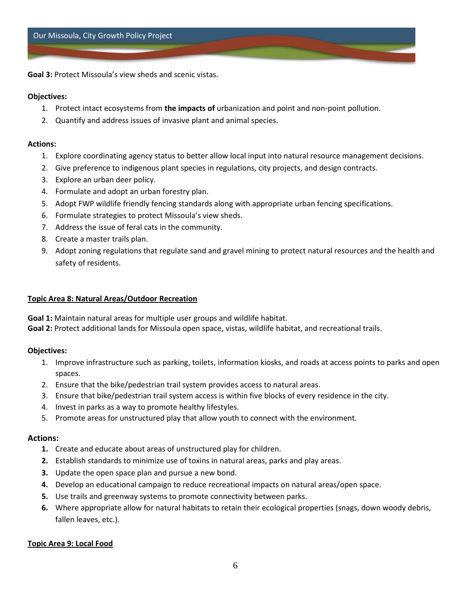**Goal 3:** Protect Missoula's view sheds and scenic vistas.

#### **Objectives:**

- 1. Protect intact ecosystems from **the impacts of** urbanization and point and non-point pollution.
- 2. Quantify and address issues of invasive plant and animal species.

#### **Actions:**

- 1. Explore coordinating agency status to better allow local input into natural resource management decisions.
- 2. Give preference to indigenous plant species in regulations, city projects, and design contracts.
- 3. Explore an urban deer policy.
- 4. Formulate and adopt an urban forestry plan.
- 5. Adopt FWP wildlife friendly fencing standards along with appropriate urban fencing specifications.
- 6. Formulate strategies to protect Missoula's view sheds.
- 7. Address the issue of feral cats in the community.
- 8. Create a master trails plan.
- 9. Adopt zoning regulations that regulate sand and gravel mining to protect natural resources and the health and safety of residents.

#### **Topic Area 8: Natural Areas/Outdoor Recreation**

**Goal 1:** Maintain natural areas for multiple user groups and wildlife habitat.

**Goal 2:** Protect additional lands for Missoula open space, vistas, wildlife habitat, and recreational trails.

# **Objectives:**

- 1. Improve infrastructure such as parking, toilets, information kiosks, and roads at access points to parks and open spaces.
- 2. Ensure that the bike/pedestrian trail system provides access to natural areas.
- 3. Ensure that bike/pedestrian trail system access is within five blocks of every residence in the city.
- 4. Invest in parks as a way to promote healthy lifestyles.
- 5. Promote areas for unstructured play that allow youth to connect with the environment.

# **Actions:**

- **1.** Create and educate about areas of unstructured play for children.
- **2.** Establish standards to minimize use of toxins in natural areas, parks and play areas.
- **3.** Update the open space plan and pursue a new bond.
- **4.** Develop an educational campaign to reduce recreational impacts on natural areas/open space.
- **5.** Use trails and greenway systems to promote connectivity between parks.
- **6.** Where appropriate allow for natural habitats to retain their ecological properties (snags, down woody debris, fallen leaves, etc.).

# **Topic Area 9: Local Food**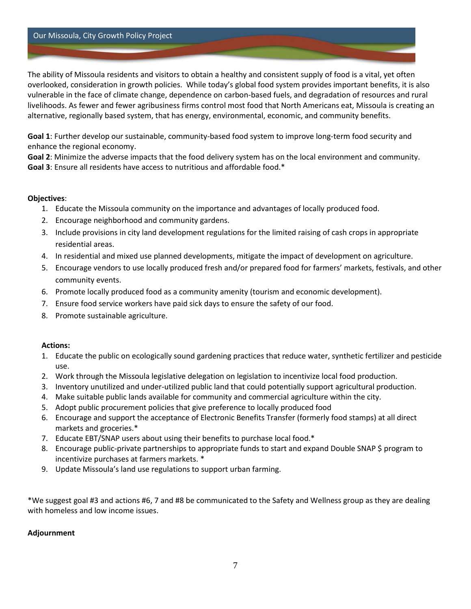#### Our Missoula, City Growth Policy Project

The ability of Missoula residents and visitors to obtain a healthy and consistent supply of food is a vital, yet often overlooked, consideration in growth policies. While today's global food system provides important benefits, it is also vulnerable in the face of climate change, dependence on carbon-based fuels, and degradation of resources and rural livelihoods. As fewer and fewer agribusiness firms control most food that North Americans eat, Missoula is creating an alternative, regionally based system, that has energy, environmental, economic, and community benefits.

**Goal 1**: Further develop our sustainable, community-based food system to improve long-term food security and enhance the regional economy.

**Goal 2**: Minimize the adverse impacts that the food delivery system has on the local environment and community. **Goal 3**: Ensure all residents have access to nutritious and affordable food.\*

#### **Objectives**:

- 1. Educate the Missoula community on the importance and advantages of locally produced food.
- 2. Encourage neighborhood and community gardens.
- 3. Include provisions in city land development regulations for the limited raising of cash crops in appropriate residential areas.
- 4. In residential and mixed use planned developments, mitigate the impact of development on agriculture.
- 5. Encourage vendors to use locally produced fresh and/or prepared food for farmers' markets, festivals, and other community events.
- 6. Promote locally produced food as a community amenity (tourism and economic development).
- 7. Ensure food service workers have paid sick days to ensure the safety of our food.
- 8. Promote sustainable agriculture.

#### **Actions:**

- 1. Educate the public on ecologically sound gardening practices that reduce water, synthetic fertilizer and pesticide use.
- 2. Work through the Missoula legislative delegation on legislation to incentivize local food production.
- 3. Inventory unutilized and under-utilized public land that could potentially support agricultural production.
- 4. Make suitable public lands available for community and commercial agriculture within the city.
- 5. Adopt public procurement policies that give preference to locally produced food
- 6. Encourage and support the acceptance of Electronic Benefits Transfer (formerly food stamps) at all direct markets and groceries.\*
- 7. Educate EBT/SNAP users about using their benefits to purchase local food.\*
- 8. Encourage public-private partnerships to appropriate funds to start and expand Double SNAP \$ program to incentivize purchases at farmers markets. \*
- 9. Update Missoula's land use regulations to support urban farming.

\*We suggest goal #3 and actions #6, 7 and #8 be communicated to the Safety and Wellness group as they are dealing with homeless and low income issues.

# **Adjournment**